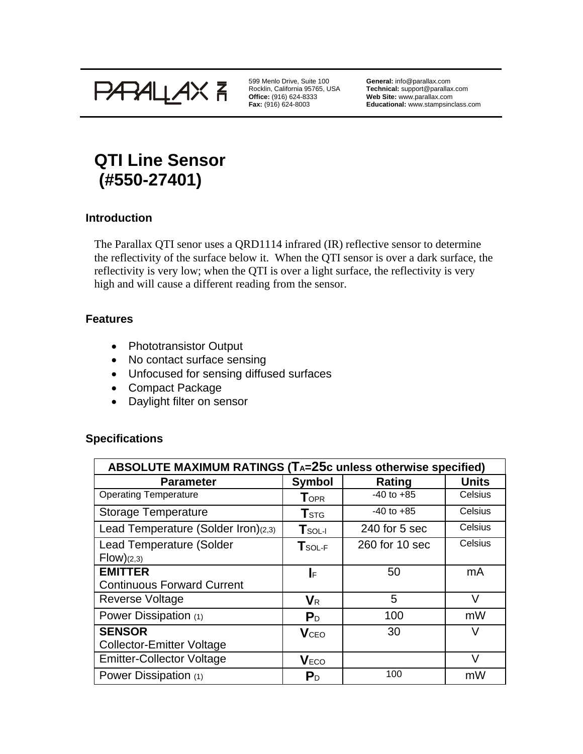

599 Menlo Drive, Suite 100 Rocklin, California 95765, USA **Office:** (916) 624-8333 **Fax:** (916) 624-8003

**General:** info@parallax.com **Technical:** support@parallax.com **Web Site:** www.parallax.com **Educational:** www.stampsinclass.com

# **QTI Line Sensor (#550-27401)**

# **Introduction**

The Parallax QTI senor uses a QRD1114 infrared (IR) reflective sensor to determine the reflectivity of the surface below it. When the QTI sensor is over a dark surface, the reflectivity is very low; when the QTI is over a light surface, the reflectivity is very high and will cause a different reading from the sensor.

# **Features**

- Phototransistor Output
- No contact surface sensing
- Unfocused for sensing diffused surfaces
- Compact Package
- Daylight filter on sensor

# **Specifications**

| ABSOLUTE MAXIMUM RATINGS (TA=25c unless otherwise specified) |                         |                 |              |
|--------------------------------------------------------------|-------------------------|-----------------|--------------|
| <b>Parameter</b>                                             | <b>Symbol</b>           | Rating          | <b>Units</b> |
| <b>Operating Temperature</b>                                 | <b>TOPR</b>             | $-40$ to $+85$  | Celsius      |
| <b>Storage Temperature</b>                                   | <b>T</b> <sub>STG</sub> | $-40$ to $+85$  | Celsius      |
| Lead Temperature (Solder Iron) $(2,3)$                       | $T_{SOL-I}$             | $240$ for 5 sec | Celsius      |
| <b>Lead Temperature (Solder</b>                              | $T_{SOL-F}$             | 260 for 10 sec  | Celsius      |
| $Flow)_{(2,3)}$                                              |                         |                 |              |
| <b>EMITTER</b>                                               | IF                      | 50              | mA           |
| <b>Continuous Forward Current</b>                            |                         |                 |              |
| Reverse Voltage                                              | $V_{R}$                 | 5               | V            |
| Power Dissipation (1)                                        | P <sub>D</sub>          | 100             | mW           |
| <b>SENSOR</b>                                                | $V_{\text{CEO}}$        | 30              | V            |
| <b>Collector-Emitter Voltage</b>                             |                         |                 |              |
| <b>Emitter-Collector Voltage</b>                             | <b>VECO</b>             |                 | V            |
| Power Dissipation (1)                                        | $P_{D}$                 | 100             | mW           |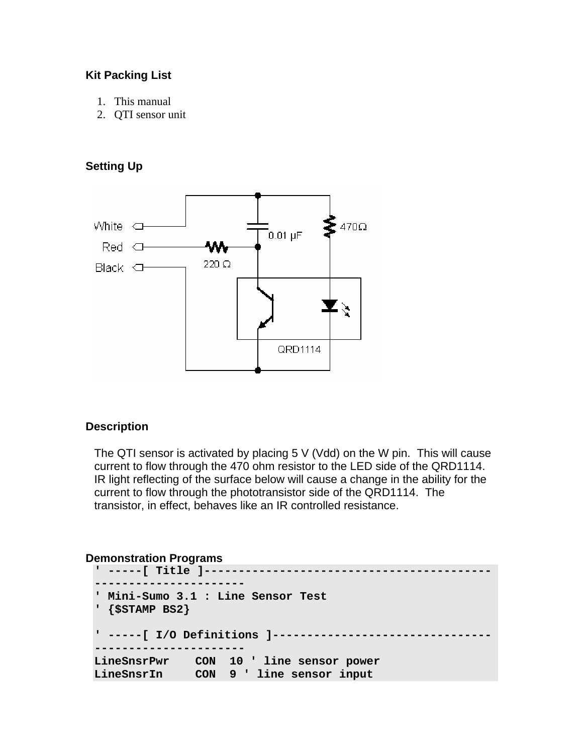## **Kit Packing List**

- 1. This manual
- 2. QTI sensor unit

## **Setting Up**



## **Description**

The QTI sensor is activated by placing 5 V (Vdd) on the W pin. This will cause current to flow through the 470 ohm resistor to the LED side of the QRD1114. IR light reflecting of the surface below will cause a change in the ability for the current to flow through the phototransistor side of the QRD1114. The transistor, in effect, behaves like an IR controlled resistance.

### **Demonstration Programs**

```
' -----[ Title ]------------------------------------------
---------------------- 
' Mini-Sumo 3.1 : Line Sensor Test 
' {$STAMP BS2} 
' -----[ I/O Definitions ]--------------------------------
---------------------- 
LineSnsrPwr CON 10 ' line sensor power 
LineSnsrIn CON 9 ' line sensor input
```